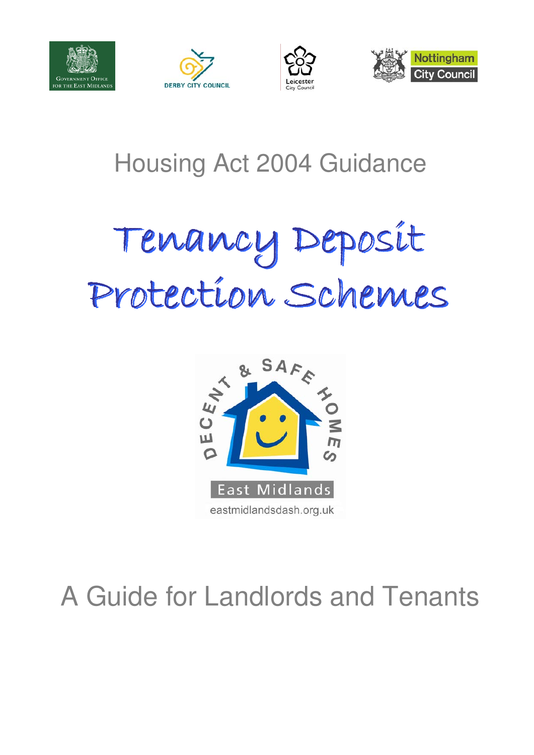







# Housing Act 2004 Guidance

### Tenancy Deposit Protection Schemes na Tenancy Deposit Protection Schemes



# A Guide for Landlords and Tenants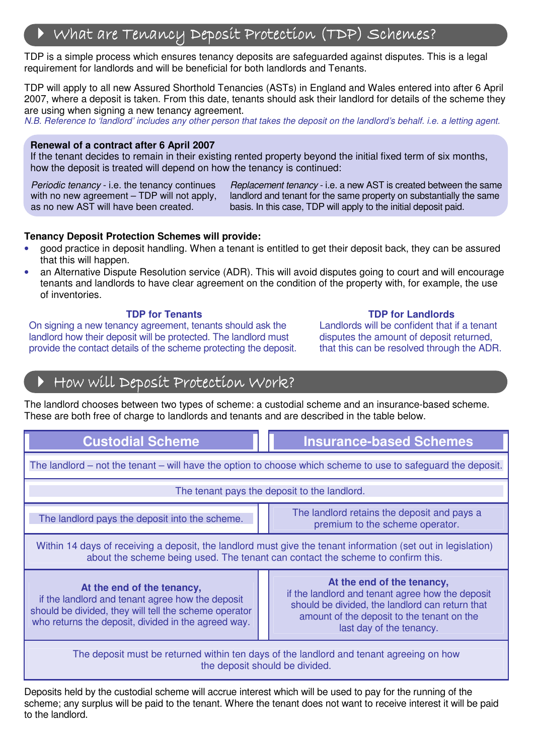# $\blacktriangleright$  What are Tenancy Deposit Protection (TDP) Schemes?

 TDP is a simple process which ensures tenancy deposits are safeguarded against disputes. This is a legal requirement for landlords and will be beneficial for both landlords and Tenants.

 TDP will apply to all new Assured Shorthold Tenancies (ASTs) in England and Wales entered into after 6 April 2007, where a deposit is taken. From this date, tenants should ask their landlord for details of the scheme they are using when signing a new tenancy agreement.

N.B. Reference to 'landlord' includes any other person that takes the deposit on the landlord's behalf. i.e. a letting agent.

#### **Renewal of a contract after 6 April 2007**

C

 $\overline{a}$ 

 If the tenant decides to remain in their existing rented property beyond the initial fixed term of six months, how the deposit is treated will depend on how the tenancy is continued:

Periodic tenancy - i.e. the tenancy continues with no new agreement – TDP will not apply, as no new AST will have been created.

 Replacement tenancy - i.e. a new AST is created between the same landlord and tenant for the same property on substantially the same basis. In this case, TDP will apply to the initial deposit paid.

#### **Tenancy Deposit Protection Schemes will provide:**

- • good practice in deposit handling. When a tenant is entitled to get their deposit back, they can be assured that this will happen.
- an Alternative Dispute Resolution service (ADR). This will avoid disputes going to court and will encourage tenants and landlords to have clear agreement on the condition of the property with, for example, the use of inventories.

### **TDP for Tenants**

 On signing a new tenancy agreement, tenants should ask the Landlords will be confident that if a tenant landlord how their deposit will be protected. The landlord must disputes the amount of deposit returned, provide the contact details of the scheme protecting the deposit. I that this can be resolved through the ADR.

### **TDP for Tenants** TDP for Landlords

Landlords will be confident that if a tenant disputes the amount of deposit returned. that this can be resolved through the ADR.

# How will Deposit Protection Work?

 These are both free of charge to landlords and tenants and are described in the table below. The landlord chooses between two types of scheme: a custodial scheme and an insurance-based scheme.

| <b>Custodial Scheme</b>                                                                                                                                                                          |  | <b>Insurance-based Schemes</b>                                                                                                                                                                              |
|--------------------------------------------------------------------------------------------------------------------------------------------------------------------------------------------------|--|-------------------------------------------------------------------------------------------------------------------------------------------------------------------------------------------------------------|
| The landlord – not the tenant – will have the option to choose which scheme to use to safeguard the deposit.                                                                                     |  |                                                                                                                                                                                                             |
| The tenant pays the deposit to the landlord.                                                                                                                                                     |  |                                                                                                                                                                                                             |
| The landlord pays the deposit into the scheme.                                                                                                                                                   |  | The landlord retains the deposit and pays a<br>premium to the scheme operator.                                                                                                                              |
| Within 14 days of receiving a deposit, the landlord must give the tenant information (set out in legislation)<br>about the scheme being used. The tenant can contact the scheme to confirm this. |  |                                                                                                                                                                                                             |
| At the end of the tenancy,<br>if the landlord and tenant agree how the deposit<br>should be divided, they will tell the scheme operator<br>who returns the deposit, divided in the agreed way.   |  | At the end of the tenancy,<br>if the landlord and tenant agree how the deposit<br>should be divided, the landlord can return that<br>amount of the deposit to the tenant on the<br>last day of the tenancy. |
| The deposit must be returned within ten days of the landlord and tenant agreeing on how<br>the deposit should be divided.                                                                        |  |                                                                                                                                                                                                             |

 Deposits held by the custodial scheme will accrue interest which will be used to pay for the running of the scheme; any surplus will be paid to the tenant. Where the tenant does not want to receive interest it will be paid to the landlord.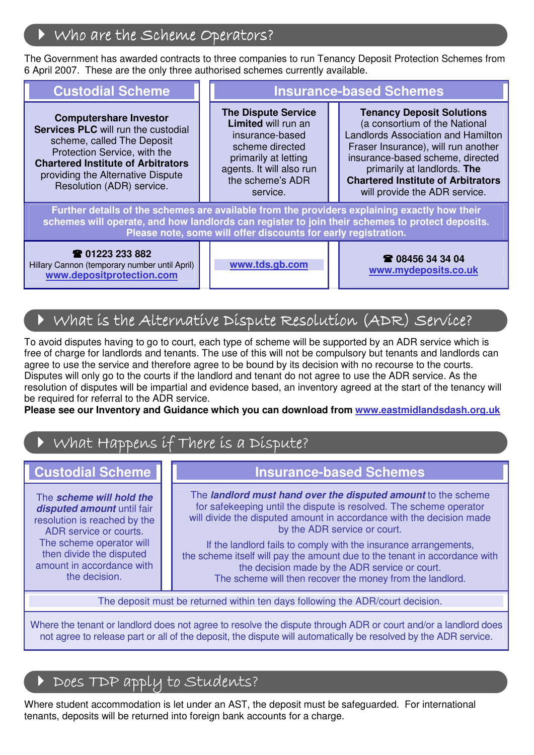# Who are the Scheme Operators?

The Government has awarded contracts to three companies to run Tenancy Deposit Protection Schemes from 3. These are the substitution of the contracts of calculations of the contract of the contract of calculations of the c 6 April 2007. These are the only three authorised schemes currently available.

### **Custodial Scheme**

**Computershare Investor Services PLC** will run the custodial scheme, called The Deposit Protection Service, with the **Chartered Institute of Arbitrators**  providing the Alternative Dispute Resolution (ADR) service.

**Insurance-based Schemes** 

**The Dispute Service Limited** will run an insurance-based scheme directed primarily at letting agents. It will also run the scheme's ADR service.

**Tenancy Deposit Solutions**  (a consortium of the National Landlords Association and Hamilton Fraser Insurance), will run another insurance-based scheme, directed primarily at landlords. **The Chartered Institute of Arbitrators**  will provide the ADR service.

Further details of the schemes are available from the providers explaining exactly how their **schemes will operate, and how landlords can register to join their schemes to protect deposits. Please note, some will offer discounts for early registration.** 

### **01223 233 882**

Hillary Cannon (temporary number until April) **www.depositprotection.com** 

J 

 I

ľ

**www.tds.gb.com 08456 34 34 04 www.mydeposits.co.uk** 

### What is the Alternative Dispute Resolution (ADR) Service?

To avoid disputes having to go to court, each type of scheme will be supported by an ADR service which is free of charge for landlords and tenants. The use of this will not be compulsory but tenants and landlords can agree to use the service and therefore agree to be bound by its decision with no recourse to the courts. Disputes will only go to the courts if the landlord and tenant do not agree to use the ADR service. As the resolution of disputes will be impartial and evidence based, an inventory agreed at the start of the tenancy will be required for referral to the ADR service.

**Please see our Inventory and Guidance which you can download from<www.eastmidlandsdash.org.uk>** 

# $\blacktriangleright$  What Happens if There is a Dispute?

### **Custodial Scheme**

The **scheme will hold the disputed amount** until fair resolution is reached by the ADR service or courts. The scheme operator will then divide the disputed amount in accordance with the decision.

### **Insurance-based Schemes**

 The **landlord must hand over the disputed amount** to the scheme for safekeeping until the dispute is resolved. The scheme operator will divide the disputed amount in accordance with the decision made by the ADR service or court.

 If the landlord fails to comply with the insurance arrangements, the scheme itself will pay the amount due to the tenant in accordance with the decision made by the ADR service or court. The scheme will then recover the money from the landlord.

The deposit must be returned within ten days following the ADR/court decision.

 Where the tenant or landlord does not agree to resolve the dispute through ADR or court and/or a landlord does not agree to release part or all of the deposit, the dispute will automatically be resolved by the ADR service.

### Does TDP apply to Students?

 Where student accommodation is let under an AST, the deposit must be safeguarded. For international tenants, deposits will be returned into foreign bank accounts for a charge.